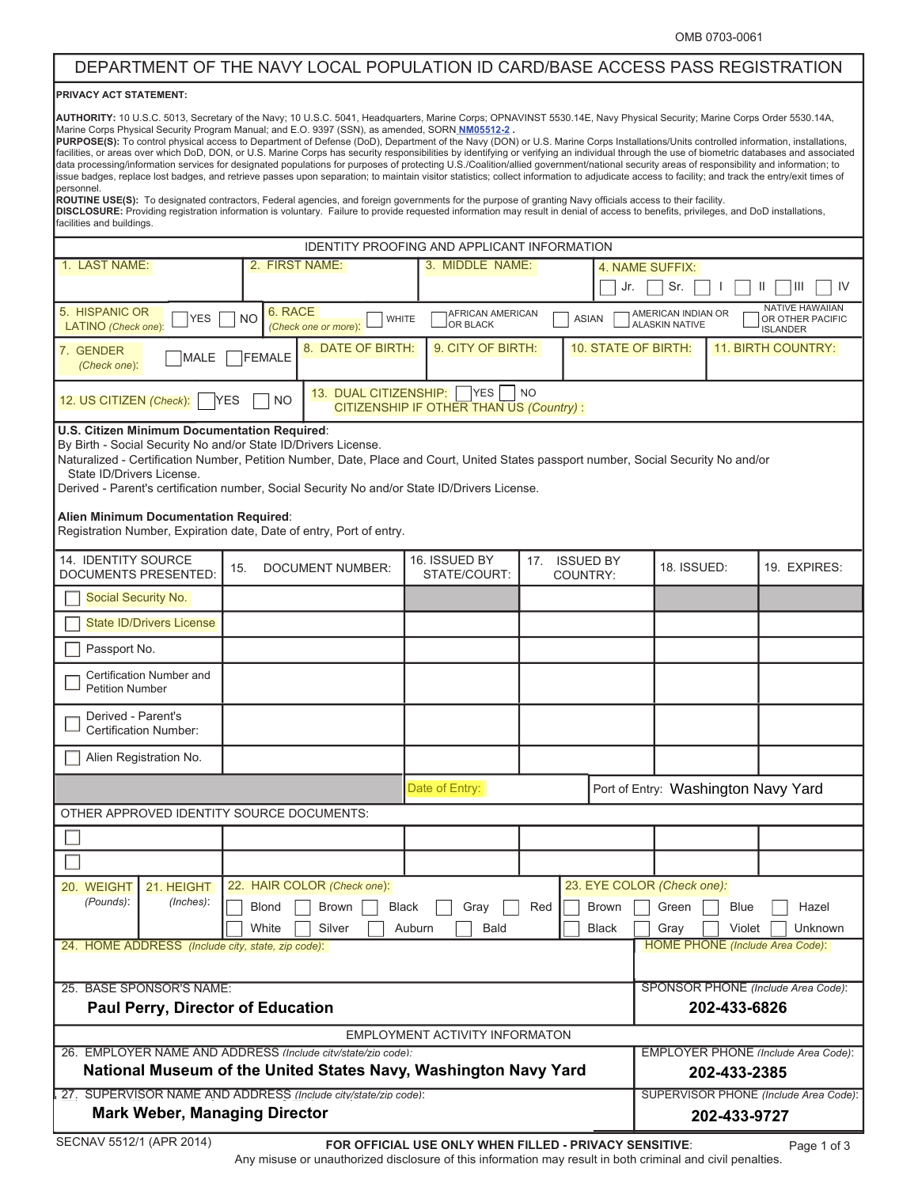## DEPARTMENT OF THE NAVY LOCAL POPULATION ID CARD/BASE ACCESS PASS REGISTRATION

## **PRIVACY ACT STATEMENT:**

**AUTHORITY:** 10 U.S.C. 5013, Secretary of the Navy; 10 U.S.C. 5041, Headquarters, Marine Corps; OPNAVINST 5530.14E, Navy Physical Security; Marine Corps Order 5530.14A, Marine Corps Physical Security Program Manual; and E.O. 9397 (SSN), as amended, SORN **NM05512-2 .**  PURPOSE(S): To control physical access to Department of Defense (DoD), Department of the Navy (DON) or U.S. Marine Corps Installations/Units controlled information, installations,

facilities, or areas over which DoD, DON, or U.S. Marine Corps has security responsibilities by identifying or verifying an individual through the use of biometric databases and associated data processing/information services for designated populations for purposes of protecting U.S./Coalition/allied government/national security areas of responsibility and information; to issue badges, replace lost badges, and retrieve passes upon separation; to maintain visitor statistics; collect information to adjudicate access to facility; and track the entry/exit times of personnel.

**ROUTINE USE(S):** To designated contractors, Federal agencies, and foreign governments for the purpose of granting Navy officials access to their facility. DISCLOSURE: Providing registration information is voluntary. Failure to provide requested information may result in denial of access to benefits, privileges, and DoD installations, facilities and buildings.

| IDENTITY PROOFING AND APPLICANT INFORMATION                                                                                                                                                                                                                                                                                                                                                                                                                                                         |                                                                                                                                     |                                      |                                                 |                                     |                           |                                                                                                                                        |                                                     |                                                               |  |
|-----------------------------------------------------------------------------------------------------------------------------------------------------------------------------------------------------------------------------------------------------------------------------------------------------------------------------------------------------------------------------------------------------------------------------------------------------------------------------------------------------|-------------------------------------------------------------------------------------------------------------------------------------|--------------------------------------|-------------------------------------------------|-------------------------------------|---------------------------|----------------------------------------------------------------------------------------------------------------------------------------|-----------------------------------------------------|---------------------------------------------------------------|--|
| 1. LAST NAME:                                                                                                                                                                                                                                                                                                                                                                                                                                                                                       | 2. FIRST NAME:<br>3. MIDDLE NAME:<br>4. NAME SUFFIX:                                                                                |                                      |                                                 |                                     |                           |                                                                                                                                        |                                                     |                                                               |  |
|                                                                                                                                                                                                                                                                                                                                                                                                                                                                                                     |                                                                                                                                     |                                      |                                                 | Jr.                                 |                           |                                                                                                                                        | Sr.<br>Ш<br>IV                                      |                                                               |  |
| 5. HISPANIC OR<br><b>YES</b><br>LATINO (Check one):                                                                                                                                                                                                                                                                                                                                                                                                                                                 | 6. RACE<br><b>NO</b>                                                                                                                | <b>WHITE</b><br>(Check one or more): | AFRICAN AMERICAN<br><b>OR BLACK</b>             |                                     | <b>ASIAN</b>              | AMERICAN INDIAN OR<br><b>ALASKIN NATIVE</b>                                                                                            |                                                     | <b>NATIVE HAWAIIAN</b><br>OR OTHER PACIFIC<br><b>ISLANDER</b> |  |
| 7. GENDER<br>MALE<br>(Check one):                                                                                                                                                                                                                                                                                                                                                                                                                                                                   | 8. DATE OF BIRTH:<br>FEMALE                                                                                                         |                                      | 9. CITY OF BIRTH:<br><b>10. STATE OF BIRTH:</b> |                                     | <b>11. BIRTH COUNTRY:</b> |                                                                                                                                        |                                                     |                                                               |  |
| 13. DUAL CITIZENSHIP:<br><b>YES</b><br>NO<br>12. US CITIZEN (Check):<br><b>NO</b><br><b>YES</b><br>CITIZENSHIP IF OTHER THAN US (Country):                                                                                                                                                                                                                                                                                                                                                          |                                                                                                                                     |                                      |                                                 |                                     |                           |                                                                                                                                        |                                                     |                                                               |  |
| U.S. Citizen Minimum Documentation Required:<br>By Birth - Social Security No and/or State ID/Drivers License.<br>Naturalized - Certification Number, Petition Number, Date, Place and Court, United States passport number, Social Security No and/or<br>State ID/Drivers License.<br>Derived - Parent's certification number, Social Security No and/or State ID/Drivers License.<br>Alien Minimum Documentation Required:<br>Registration Number, Expiration date, Date of entry, Port of entry. |                                                                                                                                     |                                      |                                                 |                                     |                           |                                                                                                                                        |                                                     |                                                               |  |
| 14. IDENTITY SOURCE<br><b>DOCUMENTS PRESENTED:</b>                                                                                                                                                                                                                                                                                                                                                                                                                                                  | 15.                                                                                                                                 | <b>DOCUMENT NUMBER:</b>              | 16. ISSUED BY<br>STATE/COURT:                   | <b>ISSUED BY</b><br>17.<br>COUNTRY: |                           | 18. ISSUED:                                                                                                                            |                                                     | 19. EXPIRES:                                                  |  |
| Social Security No.                                                                                                                                                                                                                                                                                                                                                                                                                                                                                 |                                                                                                                                     |                                      |                                                 |                                     |                           |                                                                                                                                        |                                                     |                                                               |  |
| <b>State ID/Drivers License</b>                                                                                                                                                                                                                                                                                                                                                                                                                                                                     |                                                                                                                                     |                                      |                                                 |                                     |                           |                                                                                                                                        |                                                     |                                                               |  |
| Passport No.                                                                                                                                                                                                                                                                                                                                                                                                                                                                                        |                                                                                                                                     |                                      |                                                 |                                     |                           |                                                                                                                                        |                                                     |                                                               |  |
| Certification Number and<br><b>Petition Number</b>                                                                                                                                                                                                                                                                                                                                                                                                                                                  |                                                                                                                                     |                                      |                                                 |                                     |                           |                                                                                                                                        |                                                     |                                                               |  |
| Derived - Parent's<br><b>Certification Number:</b>                                                                                                                                                                                                                                                                                                                                                                                                                                                  |                                                                                                                                     |                                      |                                                 |                                     |                           |                                                                                                                                        |                                                     |                                                               |  |
| Alien Registration No.                                                                                                                                                                                                                                                                                                                                                                                                                                                                              |                                                                                                                                     |                                      |                                                 |                                     |                           |                                                                                                                                        |                                                     |                                                               |  |
| Date of Entry:                                                                                                                                                                                                                                                                                                                                                                                                                                                                                      |                                                                                                                                     |                                      |                                                 | Port of Entry: Washington Navy Yard |                           |                                                                                                                                        |                                                     |                                                               |  |
| OTHER APPROVED IDENTITY SOURCE DOCUMENTS:                                                                                                                                                                                                                                                                                                                                                                                                                                                           |                                                                                                                                     |                                      |                                                 |                                     |                           |                                                                                                                                        |                                                     |                                                               |  |
|                                                                                                                                                                                                                                                                                                                                                                                                                                                                                                     |                                                                                                                                     |                                      |                                                 |                                     |                           |                                                                                                                                        |                                                     |                                                               |  |
|                                                                                                                                                                                                                                                                                                                                                                                                                                                                                                     |                                                                                                                                     |                                      |                                                 |                                     |                           |                                                                                                                                        |                                                     |                                                               |  |
| 20. WEIGHT<br>21. HEIGHT<br>(Pounds):<br>(Inches):<br>24. HOME ADDRESS (Include city, state, zip code):                                                                                                                                                                                                                                                                                                                                                                                             | 22. HAIR COLOR (Check one):<br>Blond Srown Black<br><b>Brown</b><br>Gray A Red<br>White<br>Silver<br>Auburn<br>Bald<br><b>Black</b> |                                      |                                                 |                                     |                           | 23. EYE COLOR (Check one):<br>$\Box$ Green $\Box$ Blue<br>$\Box$ Hazel<br>Violet<br>Unknown<br>Gray<br>HOME PHONE (Include Area Code): |                                                     |                                                               |  |
|                                                                                                                                                                                                                                                                                                                                                                                                                                                                                                     |                                                                                                                                     |                                      |                                                 |                                     |                           |                                                                                                                                        |                                                     |                                                               |  |
| 25. BASE SPONSOR'S NAME:                                                                                                                                                                                                                                                                                                                                                                                                                                                                            |                                                                                                                                     |                                      |                                                 |                                     |                           |                                                                                                                                        | SPONSOR PHONE (Include Area Code):                  |                                                               |  |
| <b>Paul Perry, Director of Education</b>                                                                                                                                                                                                                                                                                                                                                                                                                                                            |                                                                                                                                     |                                      |                                                 |                                     |                           |                                                                                                                                        | 202-433-6826                                        |                                                               |  |
| EMPLOYMENT ACTIVITY INFORMATON                                                                                                                                                                                                                                                                                                                                                                                                                                                                      |                                                                                                                                     |                                      |                                                 |                                     |                           |                                                                                                                                        |                                                     |                                                               |  |
| 26. EMPLOYER NAME AND ADDRESS (Include city/state/zip code):<br>National Museum of the United States Navy, Washington Navy Yard                                                                                                                                                                                                                                                                                                                                                                     |                                                                                                                                     |                                      |                                                 |                                     |                           |                                                                                                                                        | EMPLOYER PHONE (Include Area Code):<br>202-433-2385 |                                                               |  |
| 27. SUPERVISOR NAME AND ADDRESS (Include city/state/zip code):                                                                                                                                                                                                                                                                                                                                                                                                                                      |                                                                                                                                     |                                      |                                                 |                                     |                           |                                                                                                                                        | SUPERVISOR PHONE (Include Area Code):               |                                                               |  |
| <b>Mark Weber, Managing Director</b>                                                                                                                                                                                                                                                                                                                                                                                                                                                                |                                                                                                                                     |                                      |                                                 |                                     |                           | 202-433-9727                                                                                                                           |                                                     |                                                               |  |